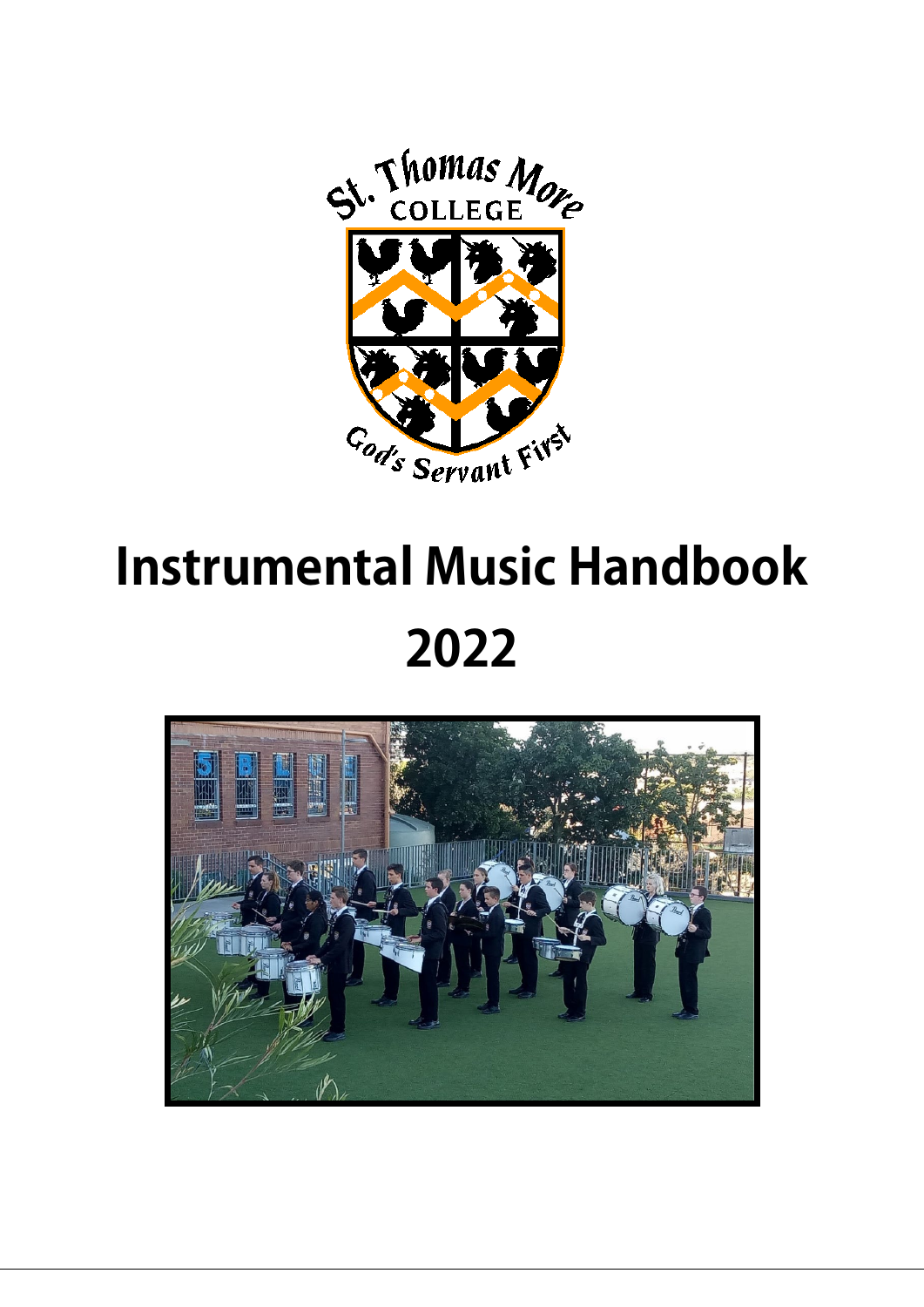

# **Instrumental Music Handbook 2022**

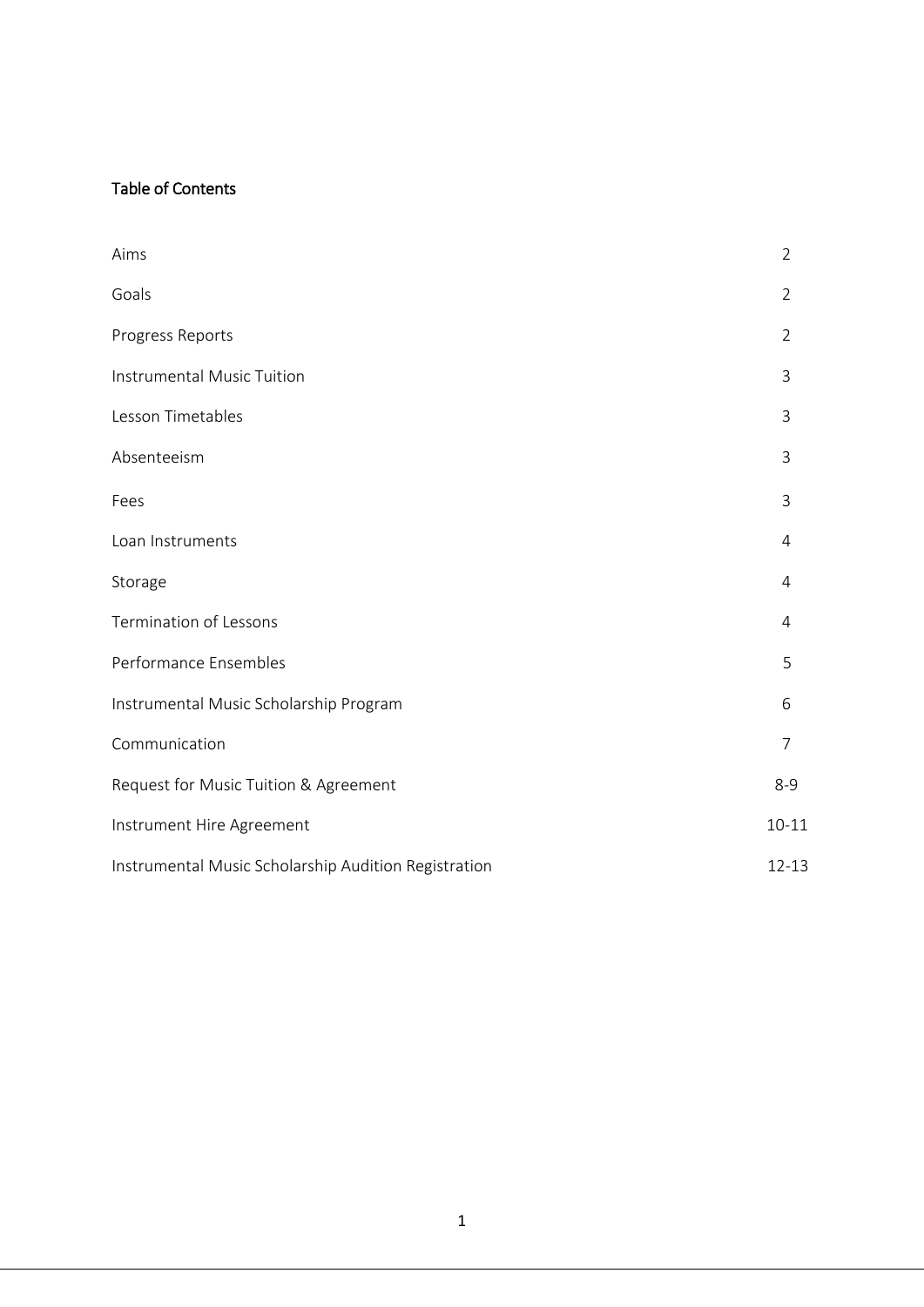## Table of Contents

| Aims                                                 | $\overline{2}$ |
|------------------------------------------------------|----------------|
| Goals                                                | $\overline{2}$ |
| Progress Reports                                     | $\overline{2}$ |
| Instrumental Music Tuition                           | 3              |
| Lesson Timetables                                    | 3              |
| Absenteeism                                          | 3              |
| Fees                                                 | 3              |
| Loan Instruments                                     | 4              |
| Storage                                              | 4              |
| <b>Termination of Lessons</b>                        | 4              |
| Performance Ensembles                                | 5              |
| Instrumental Music Scholarship Program               | 6              |
| Communication                                        | $\overline{7}$ |
| Request for Music Tuition & Agreement                | $8 - 9$        |
| Instrument Hire Agreement                            | $10 - 11$      |
| Instrumental Music Scholarship Audition Registration | $12 - 13$      |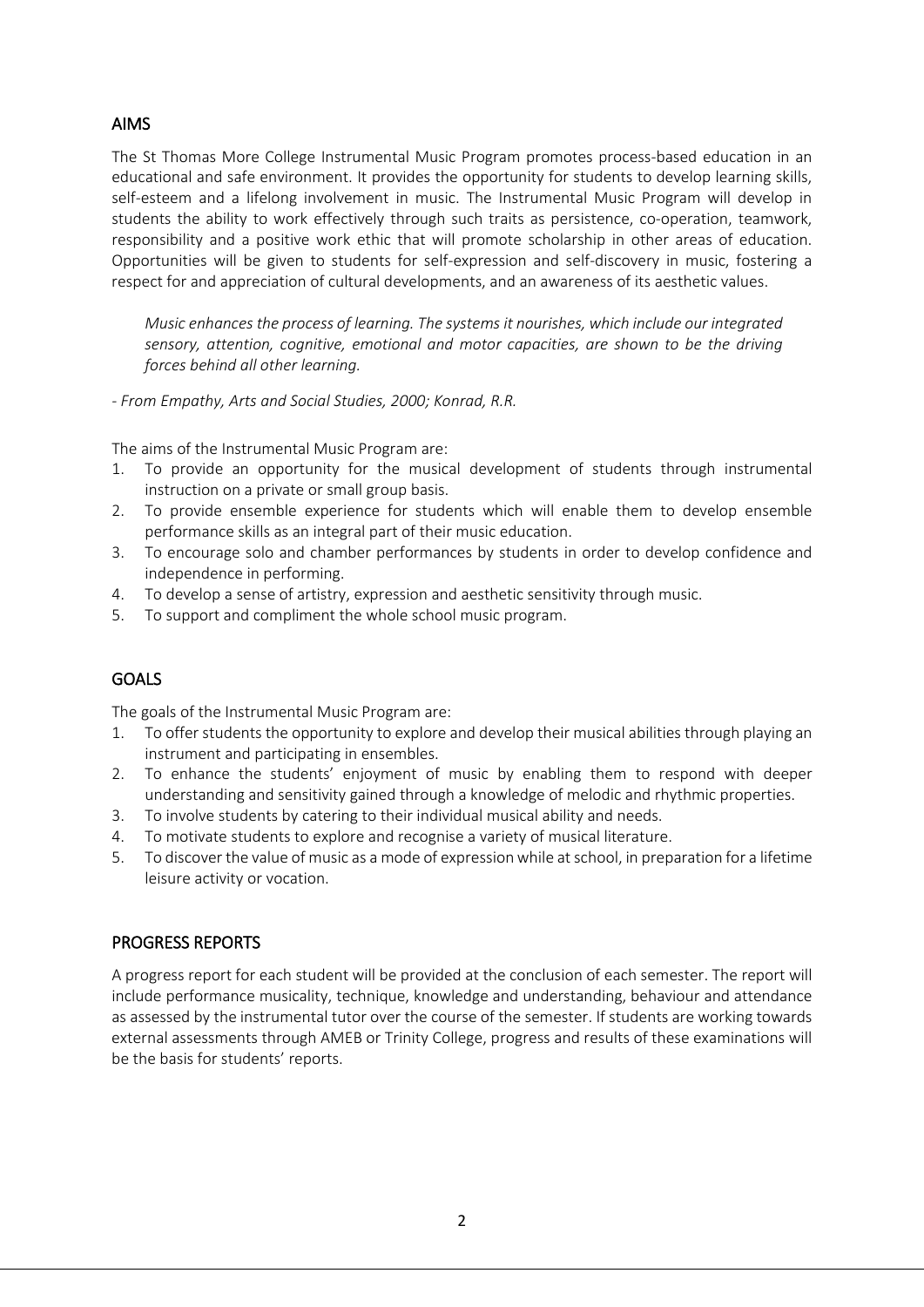## AIMS

The St Thomas More College Instrumental Music Program promotes process-based education in an educational and safe environment. It provides the opportunity for students to develop learning skills, self-esteem and a lifelong involvement in music. The Instrumental Music Program will develop in students the ability to work effectively through such traits as persistence, co-operation, teamwork, responsibility and a positive work ethic that will promote scholarship in other areas of education. Opportunities will be given to students for self-expression and self-discovery in music, fostering a respect for and appreciation of cultural developments, and an awareness of its aesthetic values.

*Music enhances the process of learning. The systems it nourishes, which include our integrated sensory, attention, cognitive, emotional and motor capacities, are shown to be the driving forces behind all other learning.*

*- From Empathy, Arts and Social Studies, 2000; Konrad, R.R.*

The aims of the Instrumental Music Program are:

- 1. To provide an opportunity for the musical development of students through instrumental instruction on a private or small group basis.
- 2. To provide ensemble experience for students which will enable them to develop ensemble performance skills as an integral part of their music education.
- 3. To encourage solo and chamber performances by students in order to develop confidence and independence in performing.
- 4. To develop a sense of artistry, expression and aesthetic sensitivity through music.
- 5. To support and compliment the whole school music program.

## GOALS

The goals of the Instrumental Music Program are:

- 1. To offer students the opportunity to explore and develop their musical abilities through playing an instrument and participating in ensembles.
- 2. To enhance the students' enjoyment of music by enabling them to respond with deeper understanding and sensitivity gained through a knowledge of melodic and rhythmic properties.
- 3. To involve students by catering to their individual musical ability and needs.
- 4. To motivate students to explore and recognise a variety of musical literature.
- 5. To discover the value of music as a mode of expression while at school, in preparation for a lifetime leisure activity or vocation.

#### PROGRESS REPORTS

A progress report for each student will be provided at the conclusion of each semester. The report will include performance musicality, technique, knowledge and understanding, behaviour and attendance as assessed by the instrumental tutor over the course of the semester. If students are working towards external assessments through AMEB or Trinity College, progress and results of these examinations will be the basis for students' reports.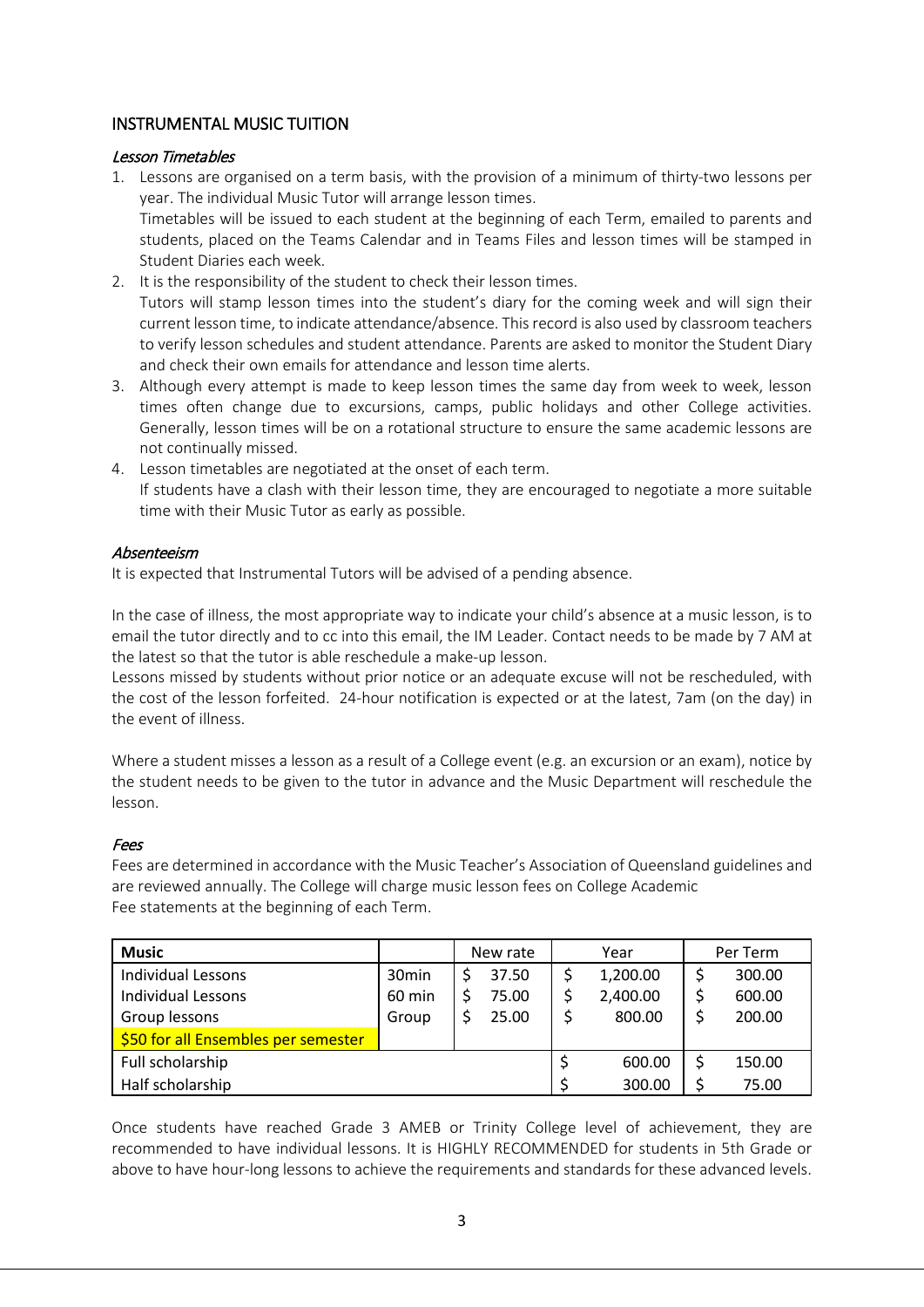## INSTRUMENTAL MUSIC TUITION

#### Lesson Timetables

- 1. Lessons are organised on a term basis, with the provision of a minimum of thirty-two lessons per year. The individual Music Tutor will arrange lesson times. Timetables will be issued to each student at the beginning of each Term, emailed to parents and students, placed on the Teams Calendar and in Teams Files and lesson times will be stamped in Student Diaries each week.
- 2. It is the responsibility of the student to check their lesson times. Tutors will stamp lesson times into the student's diary for the coming week and will sign their current lesson time, to indicate attendance/absence. This record is also used by classroom teachers to verify lesson schedules and student attendance. Parents are asked to monitor the Student Diary and check their own emails for attendance and lesson time alerts.
- 3. Although every attempt is made to keep lesson times the same day from week to week, lesson times often change due to excursions, camps, public holidays and other College activities. Generally, lesson times will be on a rotational structure to ensure the same academic lessons are not continually missed.
- 4. Lesson timetables are negotiated at the onset of each term. If students have a clash with their lesson time, they are encouraged to negotiate a more suitable time with their Music Tutor as early as possible.

#### Absenteeism

It is expected that Instrumental Tutors will be advised of a pending absence.

In the case of illness, the most appropriate way to indicate your child's absence at a music lesson, is to email the tutor directly and to cc into this email, the IM Leader. Contact needs to be made by 7 AM at the latest so that the tutor is able reschedule a make-up lesson.

Lessons missed by students without prior notice or an adequate excuse will not be rescheduled, with the cost of the lesson forfeited. 24-hour notification is expected or at the latest, 7am (on the day) in the event of illness.

Where a student misses a lesson as a result of a College event (e.g. an excursion or an exam), notice by the student needs to be given to the tutor in advance and the Music Department will reschedule the lesson.

#### Fees

Fees are determined in accordance with the Music Teacher's Association of Queensland guidelines and are reviewed annually. The College will charge music lesson fees on College Academic Fee statements at the beginning of each Term.

| <b>Music</b>                        |                   | New rate |    | Year     | Per Term |
|-------------------------------------|-------------------|----------|----|----------|----------|
| <b>Individual Lessons</b>           | 30 <sub>min</sub> | 37.50    |    | 1,200.00 | 300.00   |
| <b>Individual Lessons</b>           | 60 min            | 75.00    |    | 2,400.00 | 600.00   |
| Group lessons                       | Group             | 25.00    |    | 800.00   | 200.00   |
| \$50 for all Ensembles per semester |                   |          |    |          |          |
| Full scholarship                    |                   |          | \$ | 600.00   | 150.00   |
| Half scholarship                    |                   |          | Ś. | 300.00   | 75.00    |

Once students have reached Grade 3 AMEB or Trinity College level of achievement, they are recommended to have individual lessons. It is HIGHLY RECOMMENDED for students in 5th Grade or above to have hour-long lessons to achieve the requirements and standards for these advanced levels.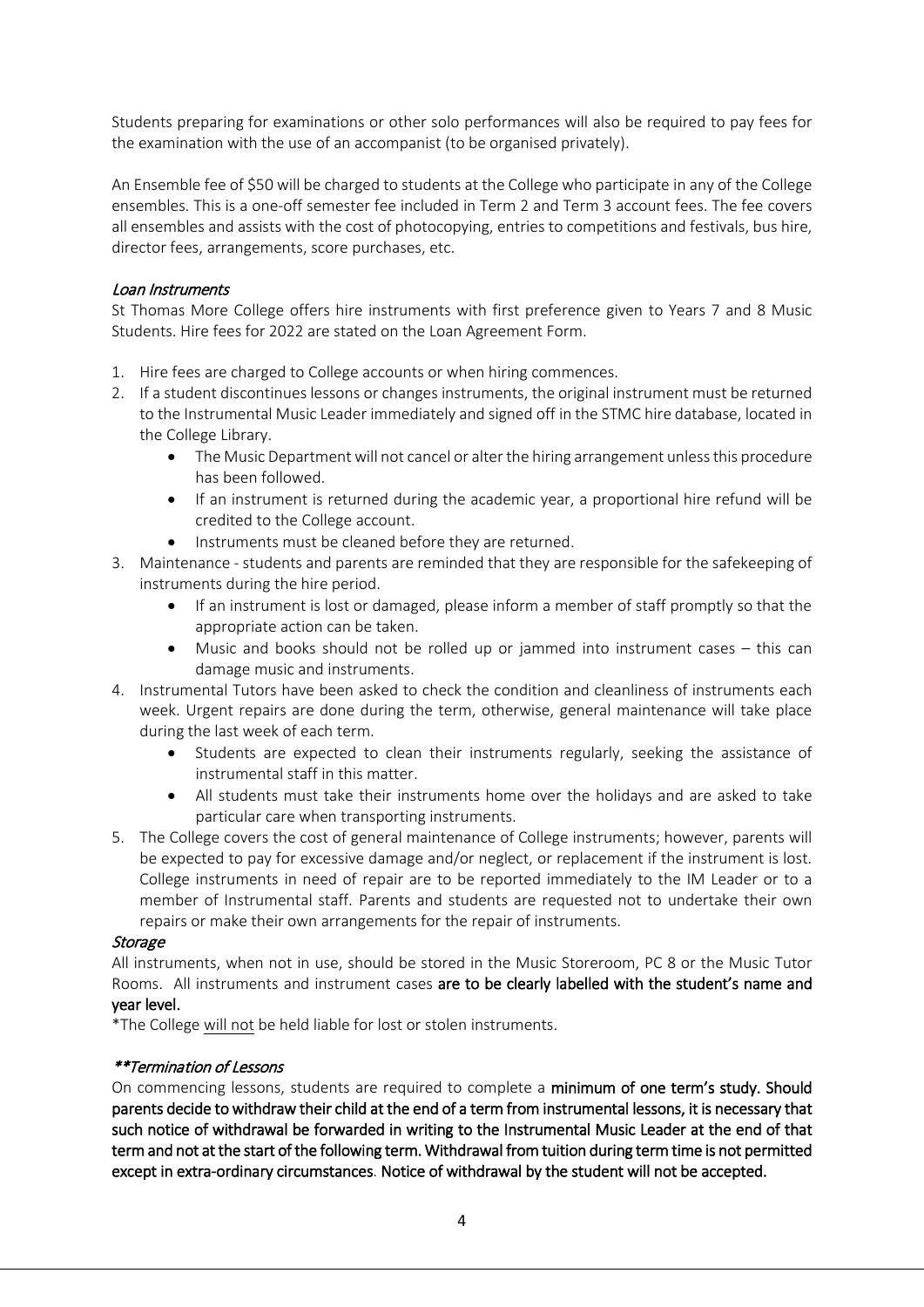Students preparing for examinations or other solo performances will also be required to pay fees for the examination with the use of an accompanist (to be organised privately).

An Ensemble fee of \$50 will be charged to students at the College who participate in any of the College ensembles. This is a one-off semester fee included in Term 2 and Term 3 account fees. The fee covers all ensembles and assists with the cost of photocopying, entries to competitions and festivals, bus hire, director fees, arrangements, score purchases, etc.

#### Loan Instruments

St Thomas More College offers hire instruments with first preference given to Years 7 and 8 Music Students. Hire fees for 2022 are stated on the Loan Agreement Form.

- 1. Hire fees are charged to College accounts or when hiring commences.
- 2. If a student discontinues lessons or changes instruments, the original instrument must be returned to the Instrumental Music Leader immediately and signed off in the STMC hire database, located in the College Library.
	- The Music Department will not cancel or alter the hiring arrangement unless this procedure has been followed.
	- If an instrument is returned during the academic year, a proportional hire refund will be credited to the College account.
		- Instruments must be cleaned before they are returned.
- 3. Maintenance students and parents are reminded that they are responsible for the safekeeping of instruments during the hire period.
	- If an instrument is lost or damaged, please inform a member of staff promptly so that the appropriate action can be taken.
	- Music and books should not be rolled up or jammed into instrument cases  $-$  this can damage music and instruments.
- 4. Instrumental Tutors have been asked to check the condition and cleanliness of instruments each week. Urgent repairs are done during the term, otherwise, general maintenance will take place during the last week of each term.
	- Students are expected to clean their instruments regularly, seeking the assistance of instrumental staff in this matter.
	- All students must take their instruments home over the holidays and are asked to take particular care when transporting instruments.
- 5. The College covers the cost of general maintenance of College instruments; however, parents will be expected to pay for excessive damage and/or neglect, or replacement if the instrument is lost. College instruments in need of repair are to be reported immediately to the IM Leader or to a member of Instrumental staff. Parents and students are requested not to undertake their own repairs or make their own arrangements for the repair of instruments.

#### **Storage**

All instruments, when not in use, should be stored in the Music Storeroom, PC 8 or the Music Tutor Rooms. All instruments and instrument cases are to be clearly labelled with the student's name and year level.

\*The College will not be held liable for lost or stolen instruments.

#### \*\*Termination of Lessons

On commencing lessons, students are required to complete a minimum of one term's study. Should parents decide to withdraw their child at the end of a term from instrumental lessons, it is necessary that such notice of withdrawal be forwarded in writing to the Instrumental Music Leader at the end of that term and not at the start of the following term. Withdrawal from tuition during term time is not permitted except in extra-ordinary circumstances. Notice of withdrawal by the student will not be accepted.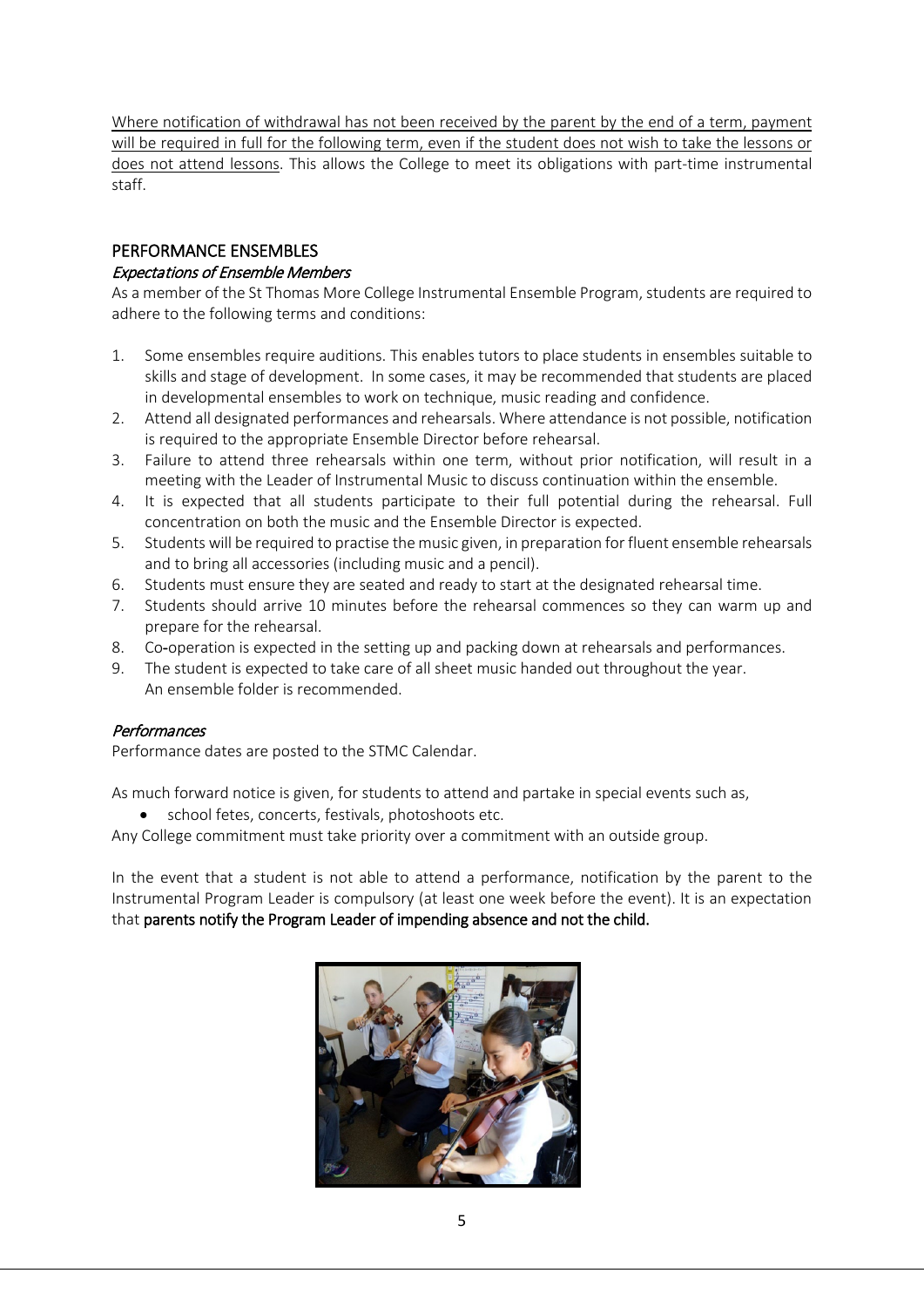Where notification of withdrawal has not been received by the parent by the end of a term, payment will be required in full for the following term, even if the student does not wish to take the lessons or does not attend lessons. This allows the College to meet its obligations with part-time instrumental staff.

## PERFORMANCE ENSEMBLES

#### Expectations of Ensemble Members

As a member of the St Thomas More College Instrumental Ensemble Program, students are required to adhere to the following terms and conditions:

- 1. Some ensembles require auditions. This enables tutors to place students in ensembles suitable to skills and stage of development. In some cases, it may be recommended that students are placed in developmental ensembles to work on technique, music reading and confidence.
- 2. Attend all designated performances and rehearsals. Where attendance is not possible, notification is required to the appropriate Ensemble Director before rehearsal.
- 3. Failure to attend three rehearsals within one term, without prior notification, will result in a meeting with the Leader of Instrumental Music to discuss continuation within the ensemble.
- 4. It is expected that all students participate to their full potential during the rehearsal. Full concentration on both the music and the Ensemble Director is expected.
- 5. Students will be required to practise the music given, in preparation for fluent ensemble rehearsals and to bring all accessories (including music and a pencil).
- 6. Students must ensure they are seated and ready to start at the designated rehearsal time.
- 7. Students should arrive 10 minutes before the rehearsal commences so they can warm up and prepare for the rehearsal.
- 8. Co-operation is expected in the setting up and packing down at rehearsals and performances.
- 9. The student is expected to take care of all sheet music handed out throughout the year. An ensemble folder is recommended.

#### **Performances**

Performance dates are posted to the STMC Calendar.

As much forward notice is given, for students to attend and partake in special events such as,

school fetes, concerts, festivals, photoshoots etc.

Any College commitment must take priority over a commitment with an outside group.

In the event that a student is not able to attend a performance, notification by the parent to the Instrumental Program Leader is compulsory (at least one week before the event). It is an expectation that parents notify the Program Leader of impending absence and not the child.

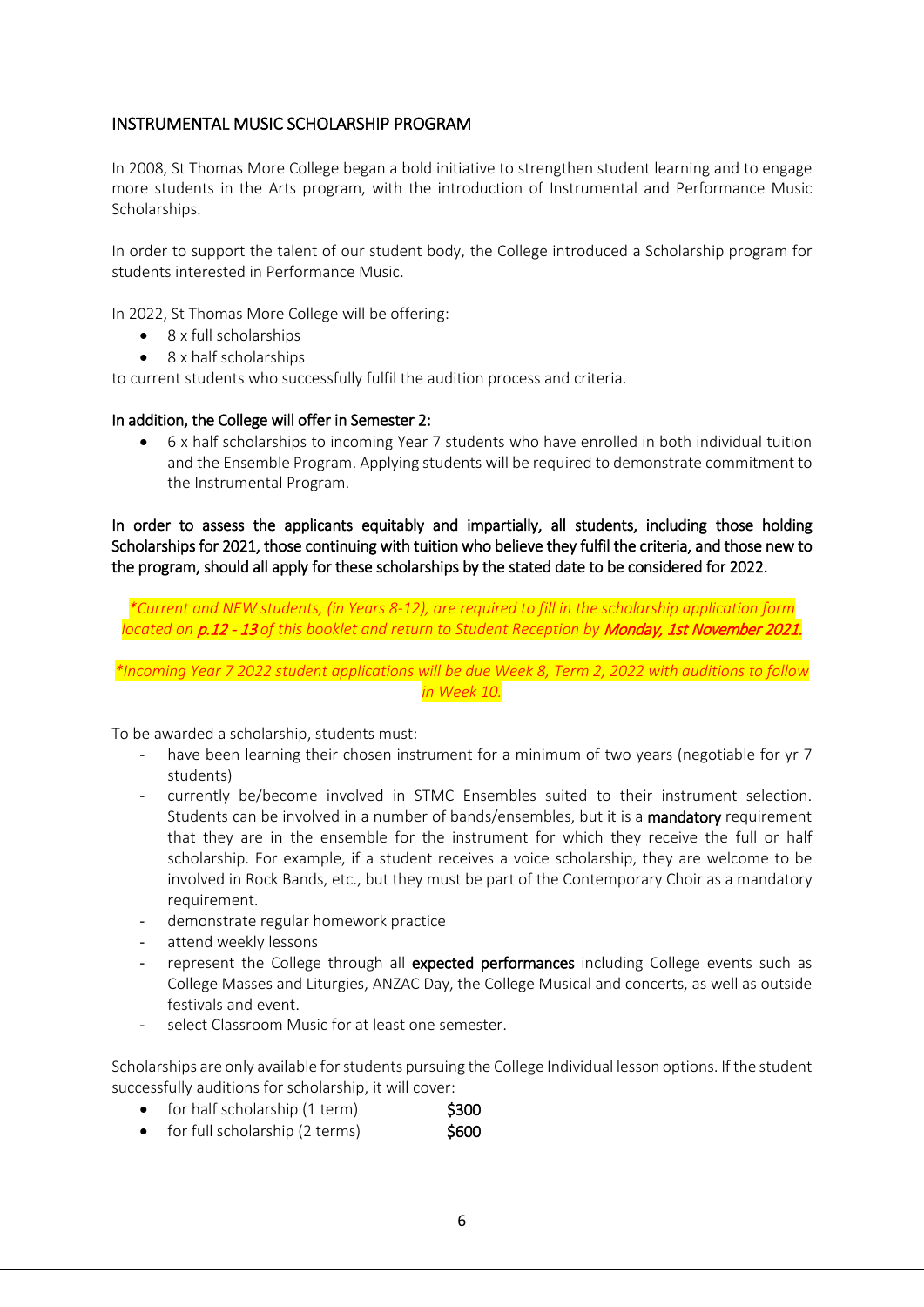#### INSTRUMENTAL MUSIC SCHOLARSHIP PROGRAM

In 2008, St Thomas More College began a bold initiative to strengthen student learning and to engage more students in the Arts program, with the introduction of Instrumental and Performance Music Scholarships.

In order to support the talent of our student body, the College introduced a Scholarship program for students interested in Performance Music.

In 2022, St Thomas More College will be offering:

- 8 x full scholarships
- 8 x half scholarships

to current students who successfully fulfil the audition process and criteria.

#### In addition, the College will offer in Semester 2:

• 6 x half scholarships to incoming Year 7 students who have enrolled in both individual tuition and the Ensemble Program. Applying students will be required to demonstrate commitment to the Instrumental Program.

In order to assess the applicants equitably and impartially, all students, including those holding Scholarships for 2021, those continuing with tuition who believe they fulfil the criteria, and those new to the program, should all apply for these scholarships by the stated date to be considered for 2022.

*\*Current and NEW students, (in Years 8-12), are required to fill in the scholarship application form located on* p.12 - 13 *of this booklet and return to Student Reception by* Monday, 1st November 2021.

*\*Incoming Year 7 2022 student applications will be due Week 8, Term 2, 2022 with auditions to follow in Week 10.*

To be awarded a scholarship, students must:

- have been learning their chosen instrument for a minimum of two years (negotiable for yr 7 students)
- currently be/become involved in STMC Ensembles suited to their instrument selection. Students can be involved in a number of bands/ensembles, but it is a mandatory requirement that they are in the ensemble for the instrument for which they receive the full or half scholarship. For example, if a student receives a voice scholarship, they are welcome to be involved in Rock Bands, etc., but they must be part of the Contemporary Choir as a mandatory requirement.
- demonstrate regular homework practice
- attend weekly lessons
- represent the College through all expected performances including College events such as College Masses and Liturgies, ANZAC Day, the College Musical and concerts, as well as outside festivals and event.
- select Classroom Music for at least one semester.

Scholarships are only available for students pursuing the College Individual lesson options. If the student successfully auditions for scholarship, it will cover:

- for half scholarship (1 term) \$300
- for full scholarship  $(2 \text{ terms})$  \$600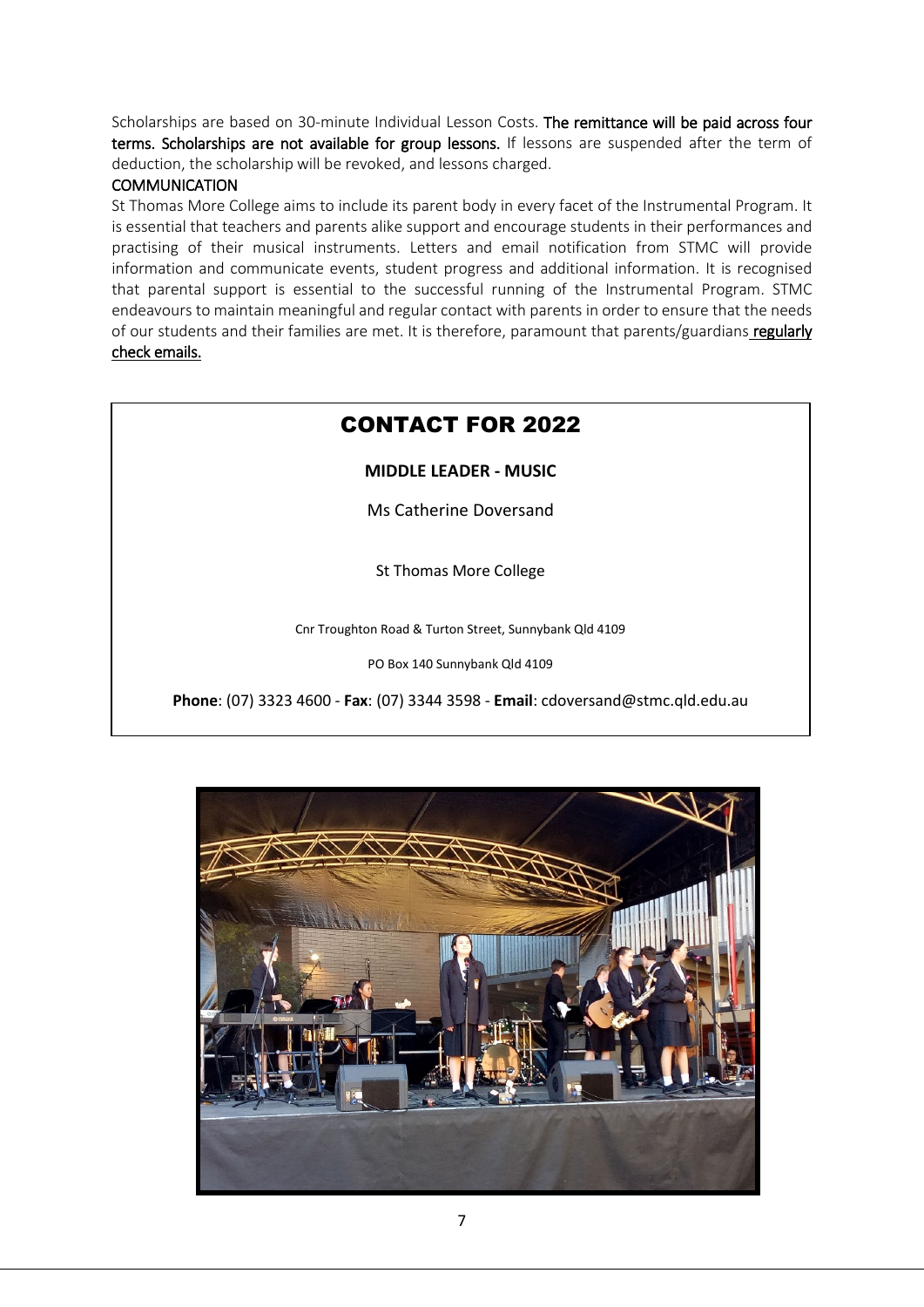Scholarships are based on 30-minute Individual Lesson Costs. The remittance will be paid across four terms. Scholarships are not available for group lessons. If lessons are suspended after the term of deduction, the scholarship will be revoked, and lessons charged.

#### **COMMUNICATION**

֡֬

St Thomas More College aims to include its parent body in every facet of the Instrumental Program. It is essential that teachers and parents alike support and encourage students in their performances and practising of their musical instruments. Letters and email notification from STMC will provide information and communicate events, student progress and additional information. It is recognised that parental support is essential to the successful running of the Instrumental Program. STMC endeavours to maintain meaningful and regular contact with parents in order to ensure that the needs of our students and their families are met. It is therefore, paramount that parents/guardians regularly check emails.

# CONTACT FOR 2022

**MIDDLE LEADER - MUSIC**

Ms Catherine Doversand

St Thomas More College

Cnr Troughton Road & Turton Street, Sunnybank Qld 4109

PO Box 140 Sunnybank Qld 4109

**Phone**: (07) 3323 4600 - **Fax**: (07) 3344 3598 - **Email**: cdoversand@stmc.qld.edu.au

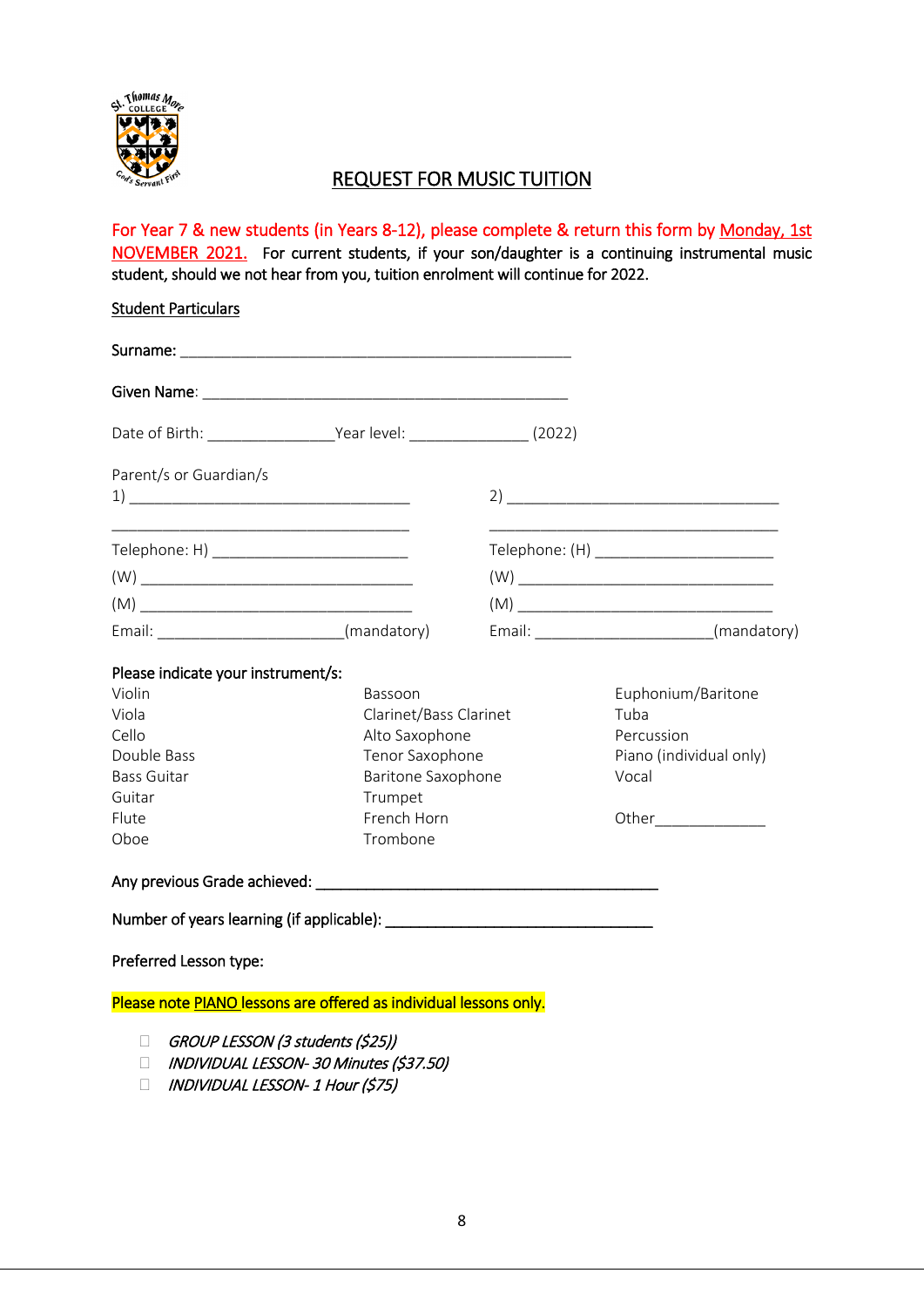

## REQUEST FOR MUSIC TUITION

For Year 7 & new students (in Years 8-12), please complete & return this form by Monday, 1st NOVEMBER 2021. For current students, if your son/daughter is a continuing instrumental music student, should we not hear from you, tuition enrolment will continue for 2022.

| <b>Student Particulars</b>                                                                                                                                                                                                                                                                                                                                                      |                         |                                                                                                                                                                                                                                                                                                                                                                                          |
|---------------------------------------------------------------------------------------------------------------------------------------------------------------------------------------------------------------------------------------------------------------------------------------------------------------------------------------------------------------------------------|-------------------------|------------------------------------------------------------------------------------------------------------------------------------------------------------------------------------------------------------------------------------------------------------------------------------------------------------------------------------------------------------------------------------------|
|                                                                                                                                                                                                                                                                                                                                                                                 |                         |                                                                                                                                                                                                                                                                                                                                                                                          |
|                                                                                                                                                                                                                                                                                                                                                                                 |                         |                                                                                                                                                                                                                                                                                                                                                                                          |
|                                                                                                                                                                                                                                                                                                                                                                                 |                         |                                                                                                                                                                                                                                                                                                                                                                                          |
| Parent/s or Guardian/s                                                                                                                                                                                                                                                                                                                                                          |                         | $\begin{tabular}{ c c c c } \hline 2 & \hspace{2.5cm} & \hspace{2.5cm} & \hspace{2.5cm} & \hspace{2.5cm} & \hspace{2.5cm} & \hspace{2.5cm} & \hspace{2.5cm} & \hspace{2.5cm} & \hspace{2.5cm} & \hspace{2.5cm} & \hspace{2.5cm} & \hspace{2.5cm} & \hspace{2.5cm} & \hspace{2.5cm} & \hspace{2.5cm} & \hspace{2.5cm} & \hspace{2.5cm} & \hspace{2.5cm} & \hspace{2.5cm} & \hspace{2.5cm$ |
| Telephone: H) ____________________________                                                                                                                                                                                                                                                                                                                                      |                         | Telephone: (H) _________________________                                                                                                                                                                                                                                                                                                                                                 |
| $\left(\mathsf{W}\right) \begin{picture}(10,10) \put(0,0){\dashbox{0.5}(10,0){ }} \put(15,0){\dashbox{0.5}(10,0){ }} \put(15,0){\dashbox{0.5}(10,0){ }} \put(15,0){\dashbox{0.5}(10,0){ }} \put(15,0){\dashbox{0.5}(10,0){ }} \put(15,0){\dashbox{0.5}(10,0){ }} \put(15,0){\dashbox{0.5}(10,0){ }} \put(15,0){\dashbox{0.5}(10,0){ }} \put(15,0){\dashbox{0.5}(10,0){ }} \put$ |                         | $\left(\mathsf{W}\right) \begin{picture}(10,10) \put(0,0){\dashbox{0.5}(10,0){ }} \put(15,0){\dashbox{0.5}(10,0){ }} \put(15,0){\dashbox{0.5}(10,0){ }} \put(15,0){\dashbox{0.5}(10,0){ }} \put(15,0){\dashbox{0.5}(10,0){ }} \put(15,0){\dashbox{0.5}(10,0){ }} \put(15,0){\dashbox{0.5}(10,0){ }} \put(15,0){\dashbox{0.5}(10,0){ }} \put(15,0){\dashbox{0.5}(10,0){ }} \put$          |
|                                                                                                                                                                                                                                                                                                                                                                                 |                         |                                                                                                                                                                                                                                                                                                                                                                                          |
| Email: ____________________________(mandatory)                                                                                                                                                                                                                                                                                                                                  |                         | Email: __________________________(mandatory)                                                                                                                                                                                                                                                                                                                                             |
| Please indicate your instrument/s:                                                                                                                                                                                                                                                                                                                                              |                         |                                                                                                                                                                                                                                                                                                                                                                                          |
| Violin                                                                                                                                                                                                                                                                                                                                                                          | Bassoon                 | Euphonium/Baritone                                                                                                                                                                                                                                                                                                                                                                       |
| Viola                                                                                                                                                                                                                                                                                                                                                                           | Clarinet/Bass Clarinet  | Tuba                                                                                                                                                                                                                                                                                                                                                                                     |
| Cello                                                                                                                                                                                                                                                                                                                                                                           | Alto Saxophone          | Percussion                                                                                                                                                                                                                                                                                                                                                                               |
| Double Bass                                                                                                                                                                                                                                                                                                                                                                     | Tenor Saxophone         | Piano (individual only)                                                                                                                                                                                                                                                                                                                                                                  |
| <b>Bass Guitar</b>                                                                                                                                                                                                                                                                                                                                                              | Baritone Saxophone      | Vocal                                                                                                                                                                                                                                                                                                                                                                                    |
| Guitar                                                                                                                                                                                                                                                                                                                                                                          | Trumpet                 |                                                                                                                                                                                                                                                                                                                                                                                          |
| Flute<br>Oboe                                                                                                                                                                                                                                                                                                                                                                   | French Horn<br>Trombone | Other_______________                                                                                                                                                                                                                                                                                                                                                                     |
|                                                                                                                                                                                                                                                                                                                                                                                 |                         |                                                                                                                                                                                                                                                                                                                                                                                          |
|                                                                                                                                                                                                                                                                                                                                                                                 |                         |                                                                                                                                                                                                                                                                                                                                                                                          |
|                                                                                                                                                                                                                                                                                                                                                                                 |                         |                                                                                                                                                                                                                                                                                                                                                                                          |
| Preferred Lesson type:                                                                                                                                                                                                                                                                                                                                                          |                         |                                                                                                                                                                                                                                                                                                                                                                                          |
| Please note PIANO lessons are offered as individual lessons only.                                                                                                                                                                                                                                                                                                               |                         |                                                                                                                                                                                                                                                                                                                                                                                          |
|                                                                                                                                                                                                                                                                                                                                                                                 |                         |                                                                                                                                                                                                                                                                                                                                                                                          |
| GROUP LESSON (3 students (\$25))<br>П<br>INDIVIDUAL LESSON-30 Minutes (\$37.50)<br>П                                                                                                                                                                                                                                                                                            |                         |                                                                                                                                                                                                                                                                                                                                                                                          |
| $\Box$ INDUSINALLAL LECCONI 1 Have $\{C2\}$                                                                                                                                                                                                                                                                                                                                     |                         |                                                                                                                                                                                                                                                                                                                                                                                          |

 $\Box$  INDIVIDUAL LESSON- 1 Hour (\$75)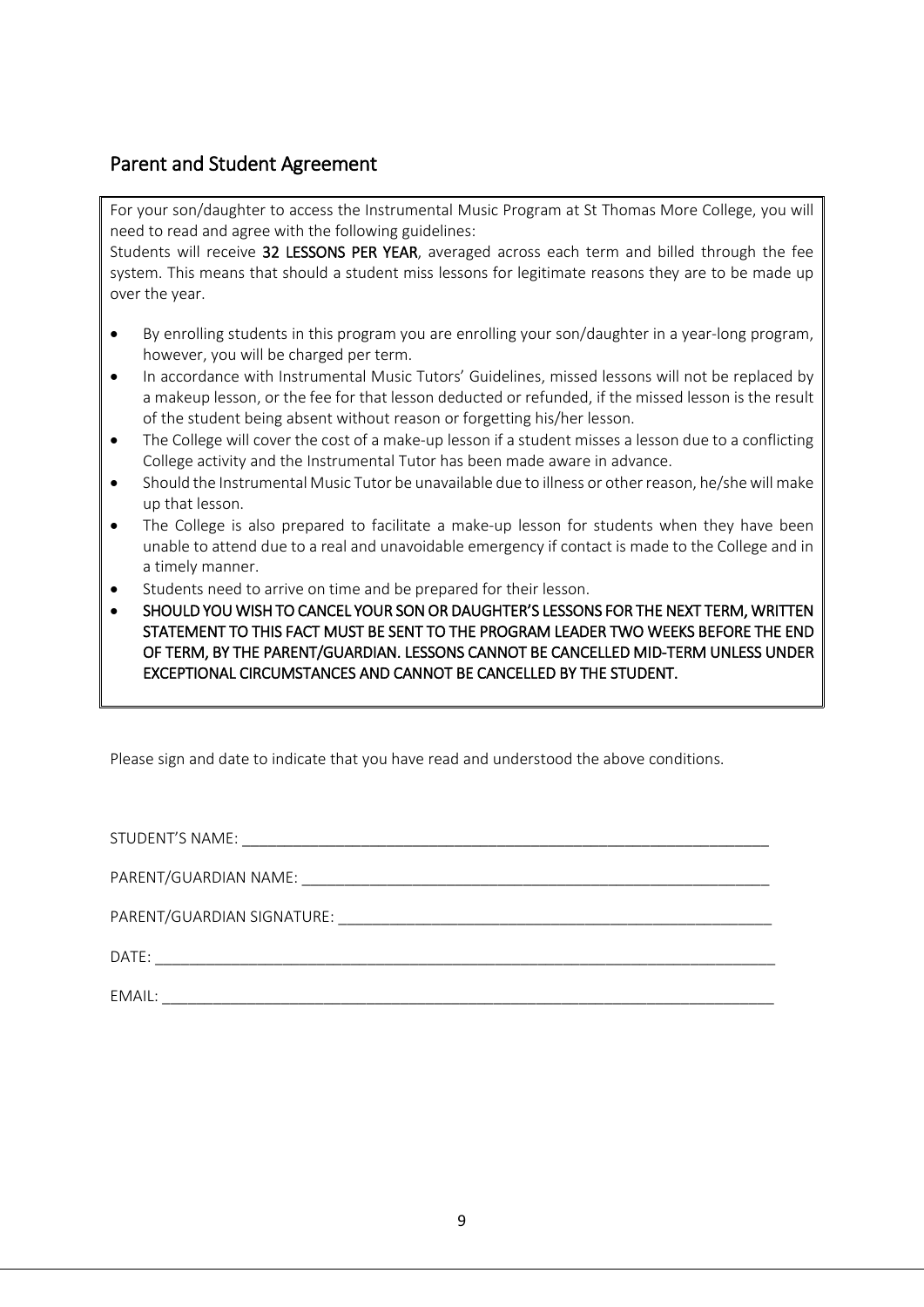## Parent and Student Agreement

For your son/daughter to access the Instrumental Music Program at St Thomas More College, you will need to read and agree with the following guidelines:

Students will receive 32 LESSONS PER YEAR, averaged across each term and billed through the fee system. This means that should a student miss lessons for legitimate reasons they are to be made up over the year.

- By enrolling students in this program you are enrolling your son/daughter in a year-long program, however, you will be charged per term.
- In accordance with Instrumental Music Tutors' Guidelines, missed lessons will not be replaced by a makeup lesson, or the fee for that lesson deducted or refunded, if the missed lesson is the result of the student being absent without reason or forgetting his/her lesson.
- The College will cover the cost of a make-up lesson if a student misses a lesson due to a conflicting College activity and the Instrumental Tutor has been made aware in advance.
- Should the Instrumental Music Tutor be unavailable due to illness or other reason, he/shewill make up that lesson.
- The College is also prepared to facilitate a make-up lesson for students when they have been unable to attend due to a real and unavoidable emergency if contact is made to the College and in a timely manner.
- Students need to arrive on time and be prepared for their lesson.
- SHOULD YOU WISH TO CANCEL YOUR SON OR DAUGHTER'S LESSONS FOR THE NEXT TERM, WRITTEN STATEMENT TO THIS FACT MUST BE SENT TO THE PROGRAM LEADER TWO WEEKS BEFORE THE END OF TERM, BY THE PARENT/GUARDIAN. LESSONS CANNOT BE CANCELLED MID-TERM UNLESS UNDER EXCEPTIONAL CIRCUMSTANCES AND CANNOT BE CANCELLED BY THE STUDENT.

Please sign and date to indicate that you have read and understood the above conditions.

| EMAIL: |
|--------|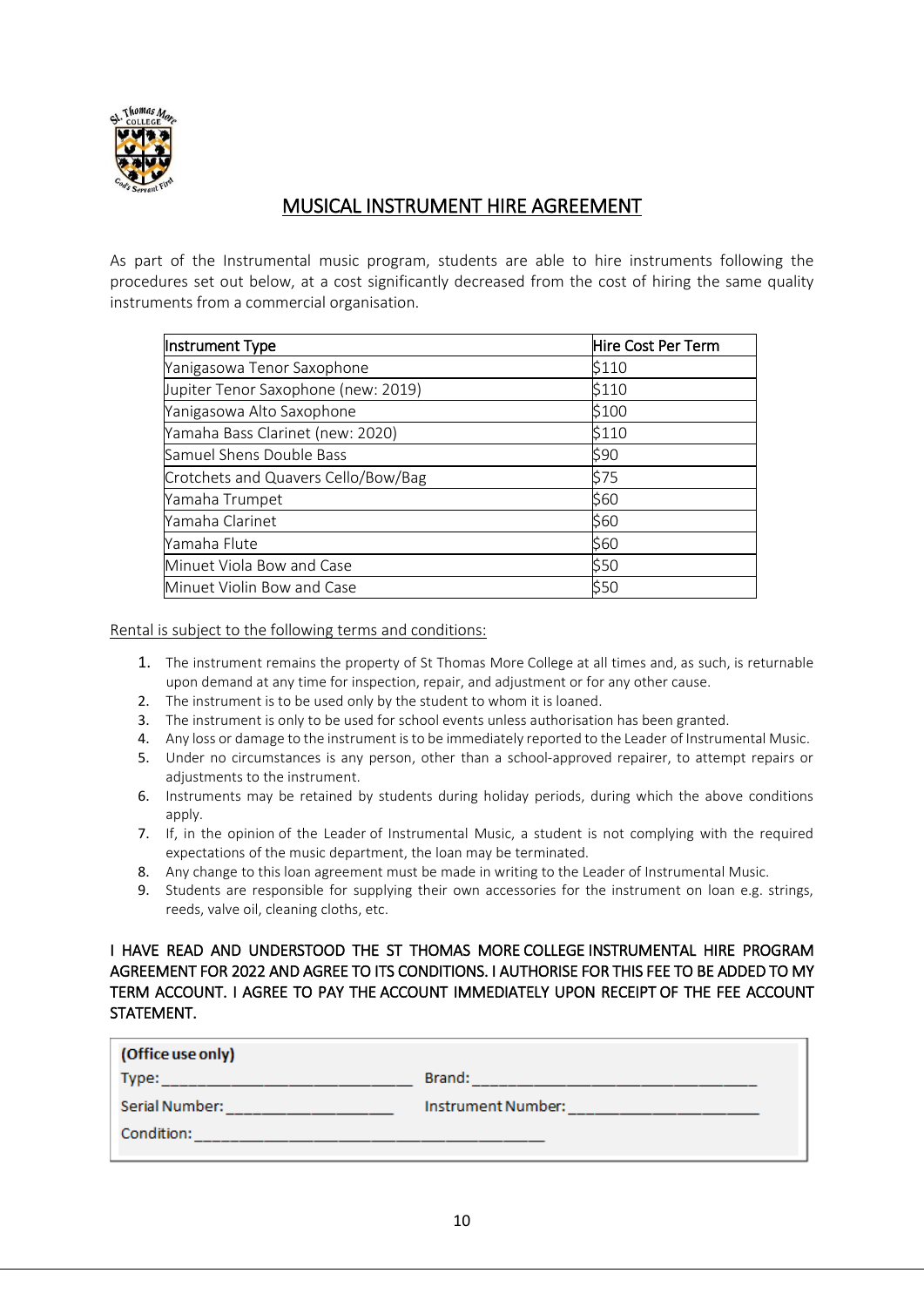

## MUSICAL INSTRUMENT HIRE AGREEMENT

As part of the Instrumental music program, students are able to hire instruments following the procedures set out below, at a cost significantly decreased from the cost of hiring the same quality instruments from a commercial organisation.

| Instrument Type                     | Hire Cost Per Term |  |  |
|-------------------------------------|--------------------|--|--|
| Yanigasowa Tenor Saxophone          | \$110              |  |  |
| Jupiter Tenor Saxophone (new: 2019) | \$110              |  |  |
| Yanigasowa Alto Saxophone           | \$100              |  |  |
| Yamaha Bass Clarinet (new: 2020)    | \$110              |  |  |
| Samuel Shens Double Bass            | \$90               |  |  |
| Crotchets and Quavers Cello/Bow/Bag | \$75               |  |  |
| Yamaha Trumpet                      | \$60               |  |  |
| Yamaha Clarinet                     | \$60               |  |  |
| Yamaha Flute                        | \$60               |  |  |
| Minuet Viola Bow and Case           | \$50               |  |  |
| Minuet Violin Bow and Case          | \$50               |  |  |

Rental is subject to the following terms and conditions:

- 1. The instrument remains the property of St Thomas More College at all times and, as such, is returnable upon demand at any time for inspection, repair, and adjustment or for any other cause.
- 2. The instrument is to be used only by the student to whom it is loaned.
- 3. The instrument is only to be used for school events unless authorisation has been granted.
- 4. Any loss or damage to the instrument is to be immediately reported to the Leader of Instrumental Music.
- 5. Under no circumstances is any person, other than a school-approved repairer, to attempt repairs or adiustments to the instrument.
- 6. Instruments may be retained by students during holiday periods, during which the above conditions apply.
- 7. If, in the opinion of the Leader of Instrumental Music, a student is not complying with the required expectations of the music department, the loan may be terminated.
- 8. Any change to this loan agreement must be made in writing to the Leader of Instrumental Music.
- 9. Students are responsible for supplying their own accessories for the instrument on loan e.g. strings, reeds, valve oil, cleaning cloths, etc.

#### I HAVE READ AND UNDERSTOOD THE ST THOMAS MORE COLLEGE INSTRUMENTAL HIRE PROGRAM AGREEMENT FOR 2022 AND AGREE TO ITS CONDITIONS. I AUTHORISE FOR THIS FEE TO BE ADDED TO MY TERM ACCOUNT. I AGREE TO PAY THE ACCOUNT IMMEDIATELY UPON RECEIPT OF THE FEE ACCOUNT STATEMENT.

| (Office use only) |                    |
|-------------------|--------------------|
| Type:             | Brand:             |
| Serial Number:    | Instrument Number: |
| Condition:        |                    |
|                   |                    |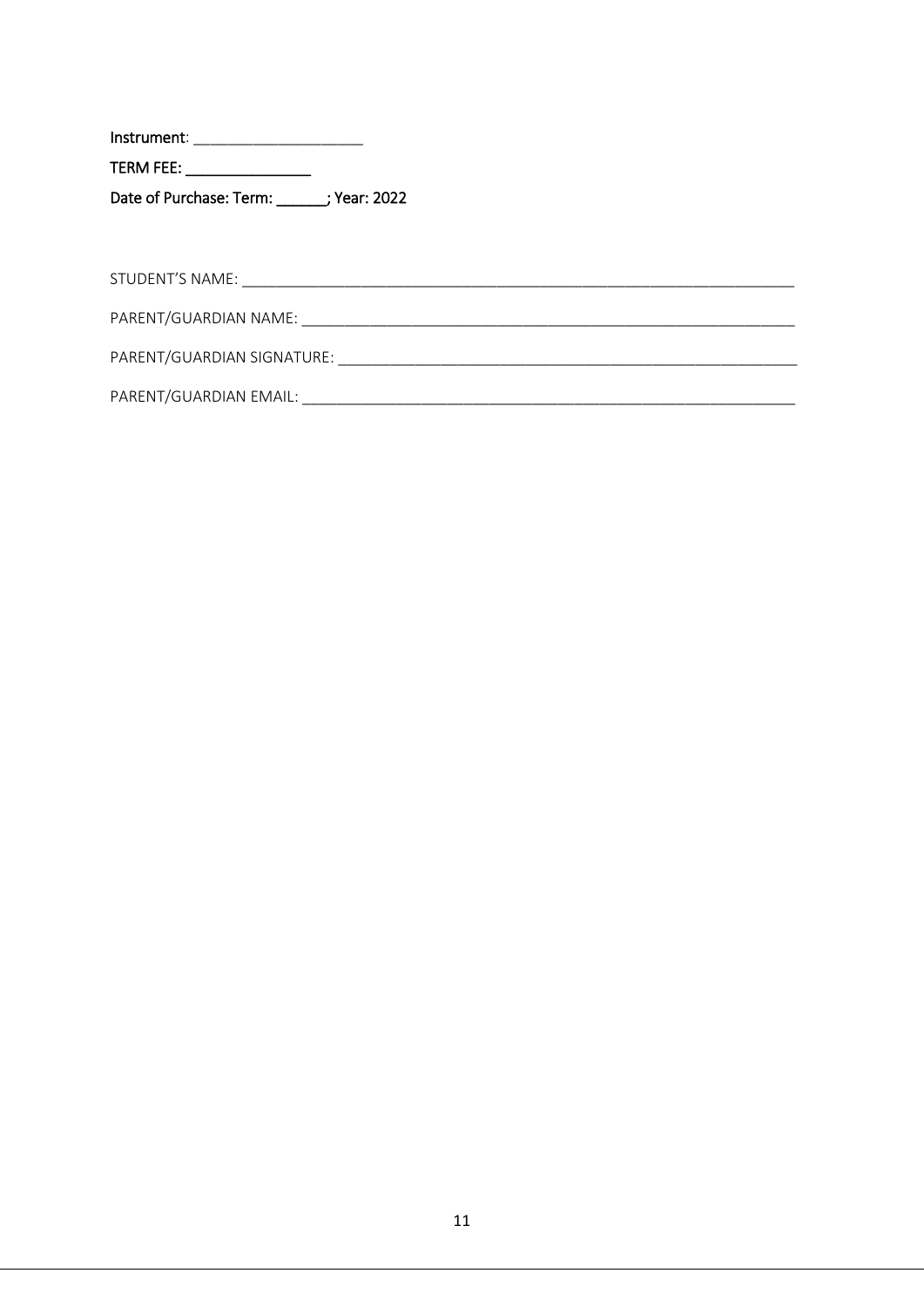TERM FEE: \_\_\_\_\_\_\_\_\_\_\_\_\_\_\_\_\_\_\_ Date of Purchase: Term: \_\_\_\_\_\_\_; Year: 2022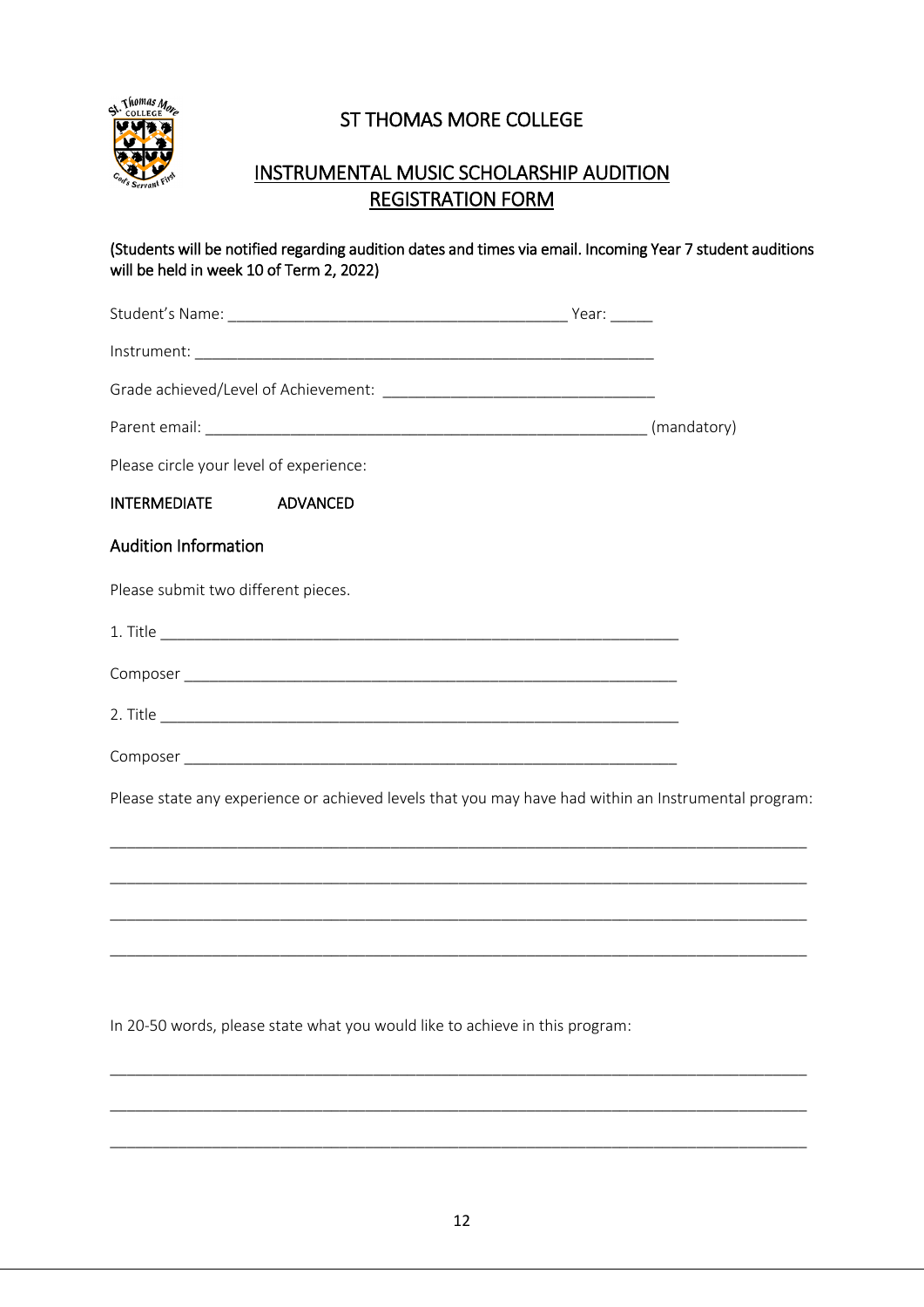

# ST THOMAS MORE COLLEGE

# INSTRUMENTAL MUSIC SCHOLARSHIP AUDITION REGISTRATION FORM

| will be held in week 10 of Term 2, 2022) | (Students will be notified regarding audition dates and times via email. Incoming Year 7 student auditions |  |
|------------------------------------------|------------------------------------------------------------------------------------------------------------|--|
|                                          |                                                                                                            |  |
|                                          |                                                                                                            |  |
|                                          |                                                                                                            |  |
|                                          |                                                                                                            |  |
| Please circle your level of experience:  |                                                                                                            |  |
| <b>INTERMEDIATE</b>                      | <b>ADVANCED</b>                                                                                            |  |
| <b>Audition Information</b>              |                                                                                                            |  |
| Please submit two different pieces.      |                                                                                                            |  |
|                                          |                                                                                                            |  |
|                                          |                                                                                                            |  |
|                                          |                                                                                                            |  |
|                                          |                                                                                                            |  |
|                                          | Please state any experience or achieved levels that you may have had within an Instrumental program:       |  |
|                                          |                                                                                                            |  |
|                                          |                                                                                                            |  |
|                                          |                                                                                                            |  |
|                                          |                                                                                                            |  |
|                                          |                                                                                                            |  |

In 20-50 words, please state what you would like to achieve in this program:

\_\_\_\_\_\_\_\_\_\_\_\_\_\_\_\_\_\_\_\_\_\_\_\_\_\_\_\_\_\_\_\_\_\_\_\_\_\_\_\_\_\_\_\_\_\_\_\_\_\_\_\_\_\_\_\_\_\_\_\_\_\_\_\_\_\_\_\_\_\_\_\_\_\_\_\_\_\_\_\_\_\_

\_\_\_\_\_\_\_\_\_\_\_\_\_\_\_\_\_\_\_\_\_\_\_\_\_\_\_\_\_\_\_\_\_\_\_\_\_\_\_\_\_\_\_\_\_\_\_\_\_\_\_\_\_\_\_\_\_\_\_\_\_\_\_\_\_\_\_\_\_\_\_\_\_\_\_\_\_\_\_\_\_\_

\_\_\_\_\_\_\_\_\_\_\_\_\_\_\_\_\_\_\_\_\_\_\_\_\_\_\_\_\_\_\_\_\_\_\_\_\_\_\_\_\_\_\_\_\_\_\_\_\_\_\_\_\_\_\_\_\_\_\_\_\_\_\_\_\_\_\_\_\_\_\_\_\_\_\_\_\_\_\_\_\_\_